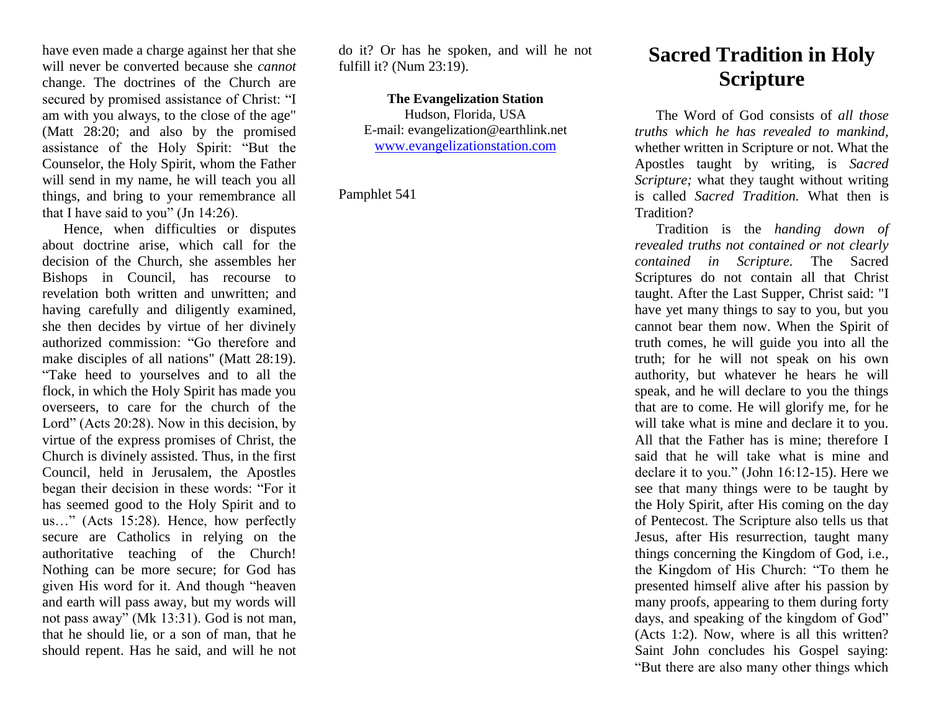have even made a charge against her that she will never be converted because she *cannot* change. The doctrines of the Church are secured by promised assistance of Christ: "I am with you always, to the close of the age" (Matt 28:20; and also by the promised assistance of the Holy Spirit: "But the Counselor, the Holy Spirit, whom the Father will send in my name, he will teach you all things, and bring to your remembrance all that I have said to you" (Jn 14:26).

Hence, when difficulties or disputes about doctrine arise, which call for the decision of the Church, she assembles her Bishops in Council, has recourse to revelation both written and unwritten; and having carefully and diligently examined, she then decides by virtue of her divinely authorized commission: "Go therefore and make disciples of all nations" (Matt 28:19). "Take heed to yourselves and to all the flock, in which the Holy Spirit has made you overseers, to care for the church of the Lord" (Acts 20:28). Now in this decision, by virtue of the express promises of Christ, the Church is divinely assisted. Thus, in the first Council, held in Jerusalem, the Apostles began their decision in these words: "For it has seemed good to the Holy Spirit and to us…" (Acts 15:28). Hence, how perfectly secure are Catholics in relying on the authoritative teaching of the Church! Nothing can be more secure; for God has given His word for it. And though "heaven and earth will pass away, but my words will not pass away" (Mk 13:31). God is not man, that he should lie, or a son of man, that he should repent. Has he said, and will he not do it? Or has he spoken, and will he not fulfill it? (Num 23:19).

## **The Evangelization Station**

Hudson, Florida, USA E-mail: evangelization@earthlink.net [www.evangelizationstation.com](http://www.pjpiisoe.org/)

Pamphlet 541

## **Sacred Tradition in Holy Scripture**

The Word of God consists of *all those truths which he has revealed to mankind,* whether written in Scripture or not. What the Apostles taught by writing, is *Sacred Scripture;* what they taught without writing is called *Sacred Tradition.* What then is Tradition?

Tradition is the *handing down of revealed truths not contained or not clearly contained in Scripture.* The Sacred Scriptures do not contain all that Christ taught. After the Last Supper, Christ said: "I have yet many things to say to you, but you cannot bear them now. When the Spirit of truth comes, he will guide you into all the truth; for he will not speak on his own authority, but whatever he hears he will speak, and he will declare to you the things that are to come. He will glorify me, for he will take what is mine and declare it to you. All that the Father has is mine; therefore I said that he will take what is mine and declare it to you." (John 16:12-15). Here we see that many things were to be taught by the Holy Spirit, after His coming on the day of Pentecost. The Scripture also tells us that Jesus, after His resurrection, taught many things concerning the Kingdom of God, i.e., the Kingdom of His Church: "To them he presented himself alive after his passion by many proofs, appearing to them during forty days, and speaking of the kingdom of God" (Acts 1:2). Now, where is all this written? Saint John concludes his Gospel saying: "But there are also many other things which